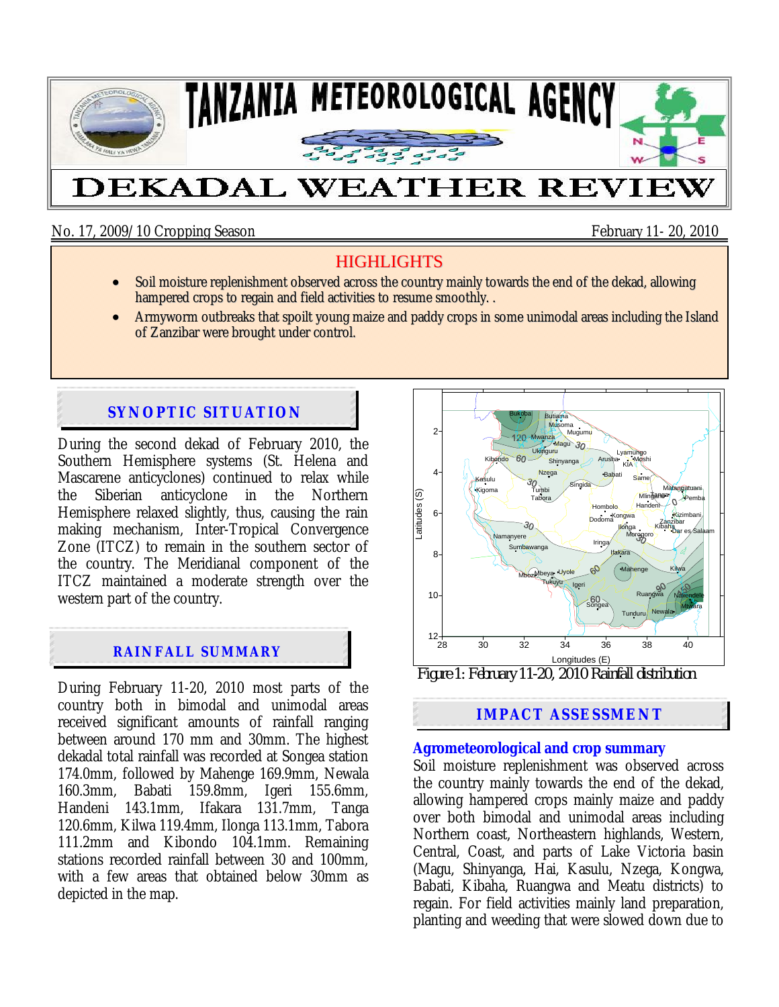

No. 17, 2009/10 Cropping Season February 11- 20, 2010

# **HIGHLIGHTS**

- Soil moisture replenishment observed across the country mainly towards the end of the dekad, allowing hampered crops to regain and field activities to resume smoothly...
- Armyworm outbreaks that spoilt young maize and paddy crops in some unimodal areas including the Island of Zanzibar were brought under control.

# **SYNOPTIC SITUATION**

During the second dekad of February 2010, the Southern Hemisphere systems (St. Helena and Mascarene anticyclones) continued to relax while the Siberian anticyclone in the Northern Hemisphere relaxed slightly, thus, causing the rain making mechanism, Inter-Tropical Convergence Zone (ITCZ) to remain in the southern sector of the country. The Meridianal component of the ITCZ maintained a moderate strength over the western part of the country.

## **RAINFALL SUMMARY**

During February 11-20, 2010 most parts of the country both in bimodal and unimodal areas received significant amounts of rainfall ranging between around 170 mm and 30mm. The highest dekadal total rainfall was recorded at Songea station 174.0mm, followed by Mahenge 169.9mm, Newala 160.3mm, Babati 159.8mm, Igeri 155.6mm, Handeni 143.1mm, Ifakara 131.7mm, Tanga 120.6mm, Kilwa 119.4mm, Ilonga 113.1mm, Tabora 111.2mm and Kibondo 104.1mm. Remaining stations recorded rainfall between 30 and 100mm, with a few areas that obtained below 30mm as depicted in the map.



*Figure 1: February 11-20, 2010 Rainfall distribution* 

## **IMPACT ASSESSMENT**

### **Agrometeorological and crop summary**

Soil moisture replenishment was observed across the country mainly towards the end of the dekad, allowing hampered crops mainly maize and paddy over both bimodal and unimodal areas including Northern coast, Northeastern highlands, Western, Central, Coast, and parts of Lake Victoria basin (Magu, Shinyanga, Hai, Kasulu, Nzega, Kongwa, Babati, Kibaha, Ruangwa and Meatu districts) to regain. For field activities mainly land preparation, planting and weeding that were slowed down due to